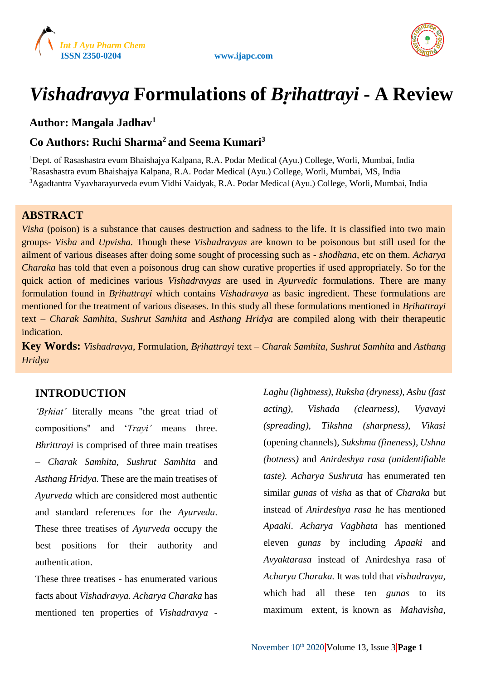



# *Vishadravya* **Formulations of** *Bṛihattrayi* **- A Review**

# **Author: Mangala Jadhav<sup>1</sup>**

# **Co Authors: Ruchi Sharma<sup>2</sup> and Seema Kumari<sup>3</sup>**

<sup>1</sup>Dept. of Rasashastra evum Bhaishajya Kalpana, R.A. Podar Medical (Ayu.) College, Worli, Mumbai, India <sup>2</sup>Rasashastra evum Bhaishajya Kalpana, R.A. Podar Medical (Ayu.) College, Worli, Mumbai, MS, India <sup>3</sup>Agadtantra Vyavharayurveda evum Vidhi Vaidyak, R.A. Podar Medical (Ayu.) College, Worli, Mumbai, India

### **ABSTRACT**

*Visha* (poison) is a substance that causes destruction and sadness to the life. It is classified into two main groups- *Visha* and *Upvisha.* Though these *Vishadravyas* are known to be poisonous but still used for the ailment of various diseases after doing some sought of processing such as - *shodhana*, etc on them. *Acharya Charaka* has told that even a poisonous drug can show curative properties if used appropriately. So for the quick action of medicines various *Vishadravyas* are used in *Ayurvedic* formulations. There are many formulation found in *Bṛihattrayi* which contains *Vishadravya* as basic ingredient. These formulations are mentioned for the treatment of various diseases. In this study all these formulations mentioned in *Bṛihattrayi* text – *Charak Samhita*, *Sushrut Samhita* and *Asthang Hridya* are compiled along with their therapeutic indication.

**Key Words:** *Vishadravya*, Formulation, *Bṛihattrayi* text – *Charak Samhita, Sushrut Samhita* and *Asthang Hridya*

# **INTRODUCTION**

*'Bṛhiat'* literally means "the great triad of compositions" and '*Trayi'* means three. *Bhrittrayi* is comprised of three main treatises – *Charak Samhita, Sushrut Samhita* and *Asthang Hridya.* These are the main treatises of *Ayurveda* which are considered most authentic and standard references for the *Ayurveda*. These three treatises of *Ayurveda* occupy the best positions for their authority and authentication.

These three treatises - has enumerated various facts about *Vishadravya. Acharya Charaka* has mentioned ten properties of *Vishadravya -*

*Laghu (lightness), Ruksha (dryness), Ashu (fast acting), Vishada (clearness), Vyavayi (spreading), Tikshna (sharpness), Vikasi*  (opening channels)*, Sukshma (fineness), Ushna (hotness)* and *Anirdeshya rasa (unidentifiable taste). Acharya Sushruta* has enumerated ten similar *gunas* of *visha* as that of *Charaka* but instead of *Anirdeshya rasa* he has mentioned *Apaaki*. *Acharya Vagbhata* has mentioned eleven *gunas* by including *Apaaki* and *Avyaktarasa* instead of Anirdeshya rasa of *Acharya Charaka.* It was told that *vishadravya*, which had all these ten *gunas* to its maximum extent, is known as *Mahavisha*,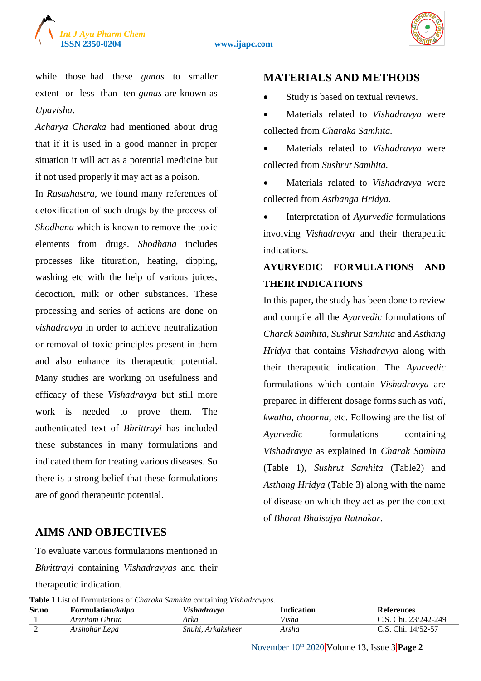



while those had these *gunas* to smaller extent or less than ten *gunas* are known as *Upavisha*.

*Acharya Charaka* had mentioned about drug that if it is used in a good manner in proper situation it will act as a potential medicine but if not used properly it may act as a poison.

In *Rasashastra,* we found many references of detoxification of such drugs by the process of *Shodhana* which is known to remove the toxic elements from drugs. *Shodhana* includes processes like tituration, heating, dipping, washing etc with the help of various juices, decoction, milk or other substances. These processing and series of actions are done on *vishadravya* in order to achieve neutralization or removal of toxic principles present in them and also enhance its therapeutic potential. Many studies are working on usefulness and efficacy of these *Vishadravya* but still more work is needed to prove them. The authenticated text of *Bhrittrayi* has included these substances in many formulations and indicated them for treating various diseases. So there is a strong belief that these formulations are of good therapeutic potential.

# **MATERIALS AND METHODS**

- Study is based on textual reviews.
- Materials related to *Vishadravya* were collected from *Charaka Samhita.*
- Materials related to *Vishadravya* were collected from *Sushrut Samhita.*
- Materials related to *Vishadravya* were collected from *Asthanga Hridya.*
- Interpretation of *Ayurvedic* formulations involving *Vishadravya* and their therapeutic indications.

# **AYURVEDIC FORMULATIONS AND THEIR INDICATIONS**

In this paper, the study has been done to review and compile all the *Ayurvedic* formulations of *Charak Samhita, Sushrut Samhita* and *Asthang Hridya* that contains *Vishadravya* along with their therapeutic indication. The *Ayurvedic* formulations which contain *Vishadravya* are prepared in different dosage forms such as *vati, kwatha, choorna*, etc. Following are the list of *Ayurvedic* formulations containing *Vishadravya* as explained in *Charak Samhita*  (Table 1)*, Sushrut Samhita* (Table2) and *Asthang Hridya* (Table 3) along with the name of disease on which they act as per the context of *Bharat Bhaisajya Ratnakar.*

# **AIMS AND OBJECTIVES**

To evaluate various formulations mentioned in *Bhrittrayi* containing *Vishadravyas* and their therapeutic indication.

**Table 1** List of Formulations of *Charaka Samhita* containing *Vishadravyas.*

| .        |                           |                      |            |                      |  |
|----------|---------------------------|----------------------|------------|----------------------|--|
| Sr.no    | Formulation/ <i>kalpa</i> | Vishadravva          | Indication | References           |  |
|          | Amritam Ghrita            | Arka                 | Visha      | . 23/242-249<br>Chi. |  |
| <u>.</u> | Lepa<br>Arshohar '        | Snuhi.<br>Arkaksheer | Arsha      | 14/52-57<br>Chi.     |  |

November 10<sup>th</sup> 2020 Volume 13, Issue 3 **Page 2**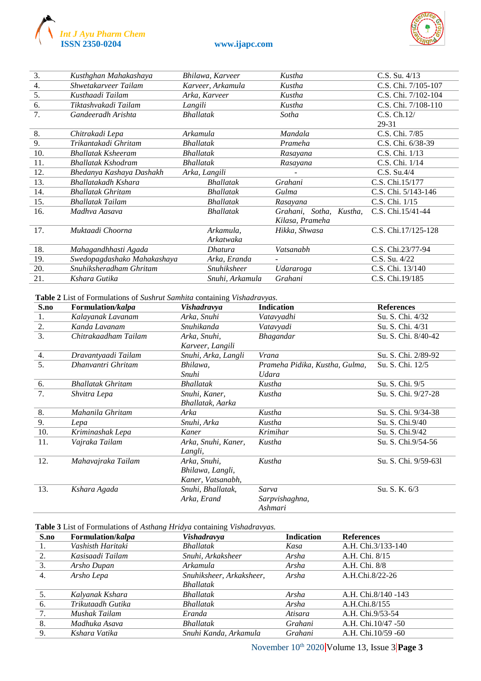



| 3.  | Kusthghan Mahakashaya       | Bhilawa, Karveer   | Kustha                     | $C.S.$ Su. $4/13$   |
|-----|-----------------------------|--------------------|----------------------------|---------------------|
| 4.  | Shwetakarveer Tailam        | Karveer, Arkamula  | Kustha                     | C.S. Chi. 7/105-107 |
| 5.  | Kusthaadi Tailam            | Arka, Karveer      | Kustha                     | C.S. Chi. 7/102-104 |
| 6.  | Tiktashvakadi Tailam        | Langili            | Kustha                     | C.S. Chi. 7/108-110 |
| 7.  | Gandeeradh Arishta          | <b>Bhallatak</b>   | Sotha                      | C.S. Ch.12/         |
|     |                             |                    |                            | 29-31               |
| 8.  | Chitrakadi Lepa             | Arkamula           | Mandala                    | C.S. Chi. 7/85      |
| 9.  | Trikantakadi Ghritam        | <b>Bhallatak</b>   | Prameha                    | C.S. Chi. 6/38-39   |
| 10. | <b>Bhallatak Ksheeram</b>   | <b>Bhallatak</b>   | Rasayana                   | C.S. Chi. 1/13      |
| 11. | <b>Bhallatak Kshodram</b>   | <b>Bhallatak</b>   | Rasayana                   | C.S. Chi. 1/14      |
| 12. | Bhedanya Kashaya Dashakh    | Arka, Langili      |                            | $C.S.$ Su.4/4       |
| 13. | Bhallatakadh Kshara         | <b>Bhallatak</b>   | Grahani                    | C.S. Chi.15/177     |
| 14. | <b>Bhallatak Ghritam</b>    | <b>Bhallatak</b>   | Gulma                      | C.S. Chi. 5/143-146 |
| 15. | <b>Bhallatak Tailam</b>     | <b>Bhallatak</b>   | Rasayana                   | C.S. Chi. 1/15      |
| 16. | Madhva Aasava               | <b>Bhallatak</b>   | Grahani, Sotha,<br>Kustha. | C.S. Chi.15/41-44   |
|     |                             |                    | Kilasa, Prameha            |                     |
| 17. | Muktaadi Choorna            | Arkamula,          | Hikka, Shwasa              | C.S. Chi.17/125-128 |
|     |                             | Arkatwaka          |                            |                     |
| 18. | Mahagandhhasti Agada        | Dhatura            | Vatsanabh                  | C.S. Chi.23/77-94   |
| 19. | Swedopagdashako Mahakashaya | Arka, Eranda       |                            | C.S. Su. 4/22       |
| 20. | Snuhiksheradham Ghritam     | <b>Snuhiksheer</b> | Udararoga                  | C.S. Chi. 13/140    |
| 21. | Kshara Gutika               | Snuhi, Arkamula    | Grahani                    | C.S. Chi.19/185     |

**Table 2** List of Formulations of *Sushrut Samhita* containing *Vishadravyas.*

| S.no             | Formulation/kalpa        | Vishadravya         | <b>Indication</b>              | <b>References</b>    |
|------------------|--------------------------|---------------------|--------------------------------|----------------------|
| 1.               | Kalayanak Lavanam        | Arka, Snuhi         | Vatavvadhi                     | Su. S. Chi. 4/32     |
| 2.               | Kanda Lavanam            | Snuhikanda          | Vatavyadi                      | Su. S. Chi. 4/31     |
| $\overline{3}$ . | Chitrakaadham Tailam     | Arka, Snuhi,        | Bhagandar                      | Su. S. Chi. 8/40-42  |
|                  |                          | Karveer, Langili    |                                |                      |
| 4.               | Dravantyaadi Tailam      | Snuhi, Arka, Langli | Vrana                          | Su. S. Chi. 2/89-92  |
| 5.               | Dhanvantri Ghritam       | Bhilawa,            | Prameha Pidika, Kustha, Gulma, | Su. S. Chi. 12/5     |
|                  |                          | Snuhi               | Udara                          |                      |
| 6.               | <b>Bhallatak Ghritam</b> | <b>Bhallatak</b>    | Kustha                         | Su. S. Chi. 9/5      |
| 7.               | Shvitra Lepa             | Snuhi, Kaner,       | Kustha                         | Su. S. Chi. 9/27-28  |
|                  |                          | Bhallatak, Aarka    |                                |                      |
| 8.               | Mahanila Ghritam         | Arka                | Kustha                         | Su. S. Chi. 9/34-38  |
| 9.               | Lepa                     | Snuhi, Arka         | Kustha                         | Su. S. Chi.9/40      |
| 10.              | Kriminashak Lepa         | Kaner               | Krimihar                       | Su. S. Chi.9/42      |
| 11.              | Vajraka Tailam           | Arka, Snuhi, Kaner, | Kustha                         | Su. S. Chi.9/54-56   |
|                  |                          | Langli,             |                                |                      |
| 12.              | Mahavajraka Tailam       | Arka, Snuhi,        | Kustha                         | Su. S. Chi. 9/59-631 |
|                  |                          | Bhilawa, Langli,    |                                |                      |
|                  |                          | Kaner, Vatsanabh,   |                                |                      |
| 13.              | Kshara Agada             | Snuhi, Bhallatak,   | Sarva                          | Su. S. K. 6/3        |
|                  |                          | Arka, Erand         | Sarpvishaghna,                 |                      |
|                  |                          |                     | Ashmari                        |                      |

#### **Table 3** List of Formulations of *Asthang Hridya* containing *Vishadravyas.*

| S.no | Formulation/kalpa | Vishadravya              | <b>Indication</b> | <b>References</b>    |
|------|-------------------|--------------------------|-------------------|----------------------|
| 1.   | Vashisth Haritaki | <b>Bhallatak</b>         | Kasa              | A.H. Chi.3/133-140   |
| 2.   | Kasisaadi Tailam  | Snuhi, Arkaksheer        | Arsha             | A.H. Chi. 8/15       |
| 3.   | Arsho Dupan       | Arkamula                 | Arsha             | A.H. Chi. 8/8        |
| 4.   | Arsho Lepa        | Snuhiksheer, Arkaksheer, | Arsha             | A.H.Chi.8/22-26      |
|      |                   | <b>Bhallatak</b>         |                   |                      |
| 5.   | Kalyanak Kshara   | <b>Bhallatak</b>         | Arsha             | A.H. Chi.8/140 -143  |
| 6.   | Trikutaadh Gutika | <b>Bhallatak</b>         | Arsha             | A.H.Chi.8/155        |
| 7.   | Mushak Tailam     | Eranda                   | Atisara           | A.H. Chi.9/53-54     |
| -8.  | Madhuka Asava     | <b>Bhallatak</b>         | Grahani           | A.H. Chi. 10/47 - 50 |
| 9.   | Kshara Vatika     | Snuhi Kanda, Arkamula    | Grahani           | A.H. Chi.10/59 -60   |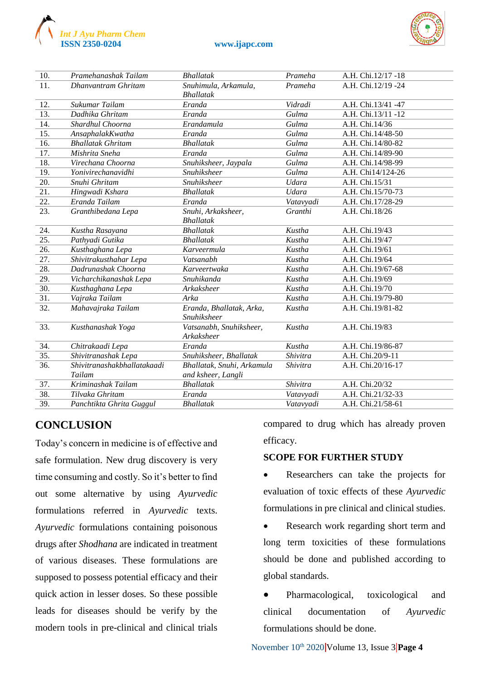

#### **ISSN 2350-0204 www.ijapc.com**

| 10.               | Pramehanashak Tailam        | <b>Bhallatak</b>           | Prameha      | A.H. Chi.12/17 -18 |
|-------------------|-----------------------------|----------------------------|--------------|--------------------|
| 11.               | Dhanyantram Ghritam         | Snuhimula, Arkamula,       | Prameha      | A.H. Chi.12/19 -24 |
|                   |                             | <b>Bhallatak</b>           |              |                    |
| 12.               | Sukumar Tailam              | Eranda                     | Vidradi      | A.H. Chi.13/41 -47 |
| 13.               | Dadhika Ghritam             | Eranda                     | Gulma        | A.H. Chi.13/11 -12 |
| 14.               | Shardhul Choorna            | Erandamula                 | Gulma        | A.H. Chi.14/36     |
| 15.               | AnsaphalakKwatha            | Eranda                     | Gulma        | A.H. Chi.14/48-50  |
| 16.               | <b>Bhallatak Ghritam</b>    | <b>Bhallatak</b>           | Gulma        | A.H. Chi.14/80-82  |
| 17.               | Mishrita Sneha              | Eranda                     | Gulma        | A.H. Chi.14/89-90  |
| 18.               | Virechana Choorna           | Snuhiksheer, Jaypala       | Gulma        | A.H. Chi.14/98-99  |
| 19.               | Yonivirechanavidhi          | <b>Snuhiksheer</b>         | Gulma        | A.H. Chi14/124-26  |
| 20.               | Snuhi Ghritam               | Snuhiksheer                | Udara        | A.H. Chi.15/31     |
| $\overline{21}$ . | Hingwadi Kshara             | <b>Bhallatak</b>           | <b>Udara</b> | A.H. Chi.15/70-73  |
| 22.               | Eranda Tailam               | Eranda                     | Vatavyadi    | A.H. Chi.17/28-29  |
| 23.               | Granthibedana Lepa          | Snuhi, Arkaksheer,         | Granthi      | A.H. Chi.18/26     |
|                   |                             | <b>Bhallatak</b>           |              |                    |
| 24.               | Kustha Rasayana             | <b>Bhallatak</b>           | Kustha       | A.H. Chi.19/43     |
| $\overline{25}$ . | Pathyadi Gutika             | <b>Bhallatak</b>           | Kustha       | A.H. Chi.19/47     |
| 26.               | Kusthaghana Lepa            | Karveermula                | Kustha       | A.H. Chi.19/61     |
| 27.               | Shivitrakusthahar Lepa      | Vatsanabh                  | Kustha       | A.H. Chi.19/64     |
| 28.               | Dadrunashak Choorna         | Karveertwaka               | Kustha       | A.H. Chi.19/67-68  |
| 29.               | Vicharchikanashak Lepa      | Snuhikanda                 | Kustha       | A.H. Chi.19/69     |
| 30.               | Kusthaghana Lepa            | Arkaksheer                 | Kustha       | A.H. Chi.19/70     |
| $\overline{31}$ . | Vajraka Tailam              | Arka                       | Kustha       | A.H. Chi.19/79-80  |
| 32.               | Mahavajraka Tailam          | Eranda, Bhallatak, Arka,   | Kustha       | A.H. Chi.19/81-82  |
|                   |                             | <b>Snuhiksheer</b>         |              |                    |
| 33.               | Kusthanashak Yoga           | Vatsanabh, Snuhiksheer,    | Kustha       | A.H. Chi.19/83     |
|                   |                             | Arkaksheer                 |              |                    |
| 34.               | Chitrakaadi Lepa            | Eranda                     | Kustha       | A.H. Chi.19/86-87  |
| 35.               | Shivitranashak Lepa         | Snuhiksheer, Bhallatak     | Shivitra     | A.H. Chi.20/9-11   |
| 36.               | Shivitranashakbhallatakaadi | Bhallatak, Snuhi, Arkamula | Shivitra     | A.H. Chi.20/16-17  |
|                   | Tailam                      | and ksheer, Langli         |              |                    |
| 37.               | Kriminashak Tailam          | <b>Bhallatak</b>           | Shivitra     | A.H. Chi.20/32     |
| 38.               | Tilvaka Ghritam             | Eranda                     | Vatavyadi    | A.H. Chi.21/32-33  |
| 39.               | Panchtikta Ghrita Guggul    | <b>Bhallatak</b>           | Vatavyadi    | A.H. Chi.21/58-61  |
|                   |                             |                            |              |                    |

# **CONCLUSION**

Today's concern in medicine is of effective and safe formulation. New drug discovery is very time consuming and costly. So it's better to find out some alternative by using *Ayurvedic* formulations referred in *Ayurvedic* texts. *Ayurvedic* formulations containing poisonous drugs after *Shodhana* are indicated in treatment of various diseases. These formulations are supposed to possess potential efficacy and their quick action in lesser doses. So these possible leads for diseases should be verify by the modern tools in pre-clinical and clinical trials

compared to drug which has already proven efficacy.

#### **SCOPE FOR FURTHER STUDY**

- Researchers can take the projects for evaluation of toxic effects of these *Ayurvedic* formulations in pre clinical and clinical studies.
- Research work regarding short term and long term toxicities of these formulations should be done and published according to global standards.
- Pharmacological, toxicological and clinical documentation of *Ayurvedic*  formulations should be done.

November 10th 2020 Volume 13, Issue 3 **Page 4**